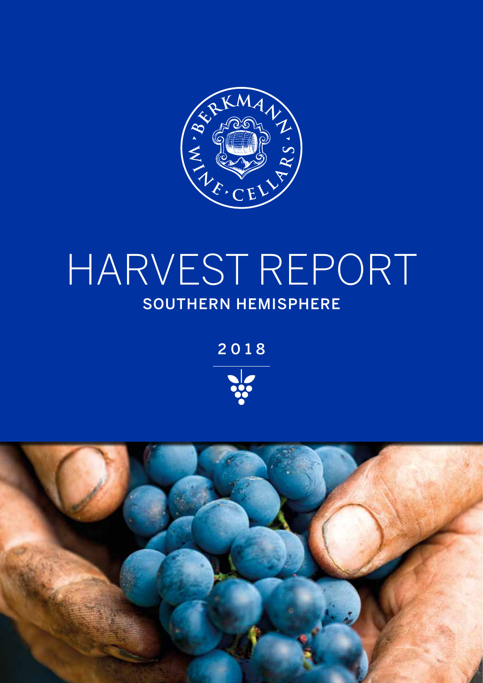

# HARVEST REPORT SOUTHERN HEMISPHERE

2018



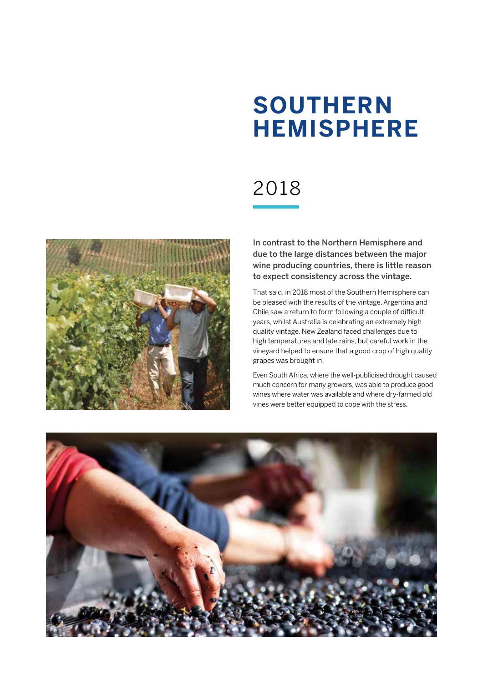## **SOUTHERN HEMISPHERE**

## 2018



In contrast to the Northern Hemisphere and due to the large distances between the major wine producing countries, there is little reason to expect consistency across the vintage.

That said, in 2018 most of the Southern Hemisphere can be pleased with the results of the vintage. Argentina and Chile saw a return to form following a couple of difficult years, whilst Australia is celebrating an extremely high quality vintage. New Zealand faced challenges due to high temperatures and late rains, but careful work in the vineyard helped to ensure that a good crop of high quality grapes was brought in.

Even South Africa, where the well-publicised drought caused much concern for many growers, was able to produce good wines where water was available and where dry-farmed old vines were better equipped to cope with the stress.

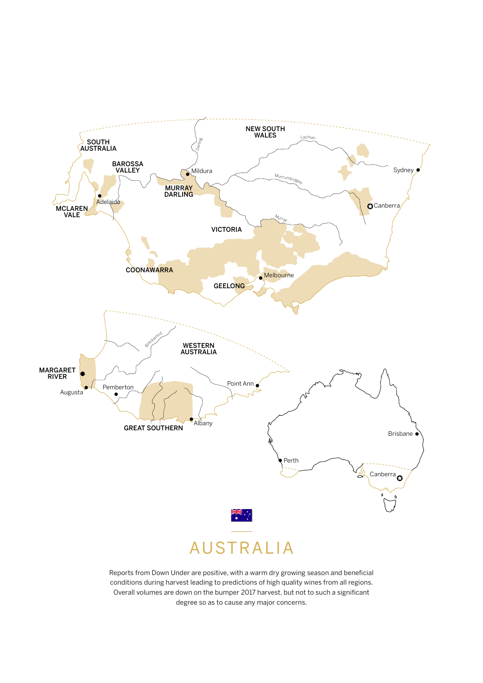

Reports from Down Under are positive, with a warm dry growing season and beneficial conditions during harvest leading to predictions of high quality wines from all regions. Overall volumes are down on the bumper 2017 harvest, but not to such a significant degree so as to cause any major concerns.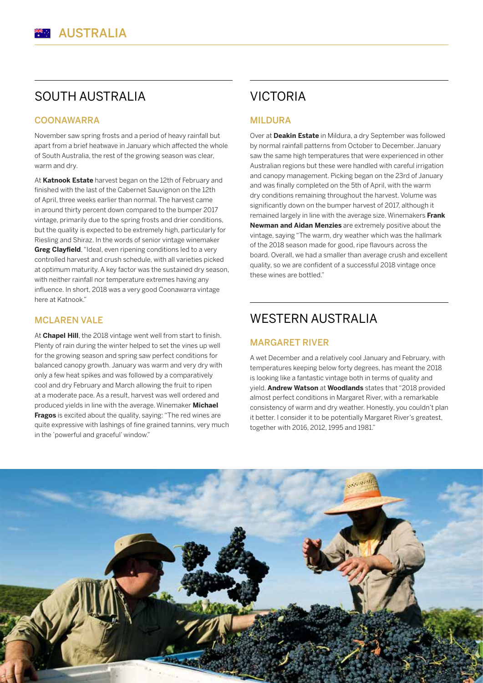## SOUTH AUSTRALIA

#### **COONAWARRA**

November saw spring frosts and a period of heavy rainfall but apart from a brief heatwave in January which affected the whole of South Australia, the rest of the growing season was clear, warm and dry.

At **Katnook Estate** harvest began on the 12th of February and finished with the last of the Cabernet Sauvignon on the 12th of April, three weeks earlier than normal. The harvest came in around thirty percent down compared to the bumper 2017 vintage, primarily due to the spring frosts and drier conditions, but the quality is expected to be extremely high, particularly for Riesling and Shiraz. In the words of senior vintage winemaker **Greg Clayfield**, "Ideal, even ripening conditions led to a very controlled harvest and crush schedule, with all varieties picked at optimum maturity. A key factor was the sustained dry season, with neither rainfall nor temperature extremes having any influence. In short, 2018 was a very good Coonawarra vintage here at Katnook."

#### MCLAREN VALE

At **Chapel Hill**, the 2018 vintage went well from start to finish. Plenty of rain during the winter helped to set the vines up well for the growing season and spring saw perfect conditions for balanced canopy growth. January was warm and very dry with only a few heat spikes and was followed by a comparatively cool and dry February and March allowing the fruit to ripen at a moderate pace. As a result, harvest was well ordered and produced yields in line with the average. Winemaker **Michael Fragos** is excited about the quality, saying: "The red wines are quite expressive with lashings of fine grained tannins, very much in the 'powerful and graceful' window."

## VICTORIA

#### MILDURA

Over at **Deakin Estate** in Mildura, a dry September was followed by normal rainfall patterns from October to December. January saw the same high temperatures that were experienced in other Australian regions but these were handled with careful irrigation and canopy management. Picking began on the 23rd of January and was finally completed on the 5th of April, with the warm dry conditions remaining throughout the harvest. Volume was significantly down on the bumper harvest of 2017, although it remained largely in line with the average size. Winemakers **Frank Newman and Aidan Menzies** are extremely positive about the vintage, saying "The warm, dry weather which was the hallmark of the 2018 season made for good, ripe flavours across the board. Overall, we had a smaller than average crush and excellent quality, so we are confident of a successful 2018 vintage once these wines are bottled."

### WESTERN AUSTRALIA

#### MARGARET RIVER

A wet December and a relatively cool January and February, with temperatures keeping below forty degrees, has meant the 2018 is looking like a fantastic vintage both in terms of quality and yield. **Andrew Watson** at **Woodlands** states that "2018 provided almost perfect conditions in Margaret River, with a remarkable consistency of warm and dry weather. Honestly, you couldn't plan it better. I consider it to be potentially Margaret River's greatest, together with 2016, 2012, 1995 and 1981."

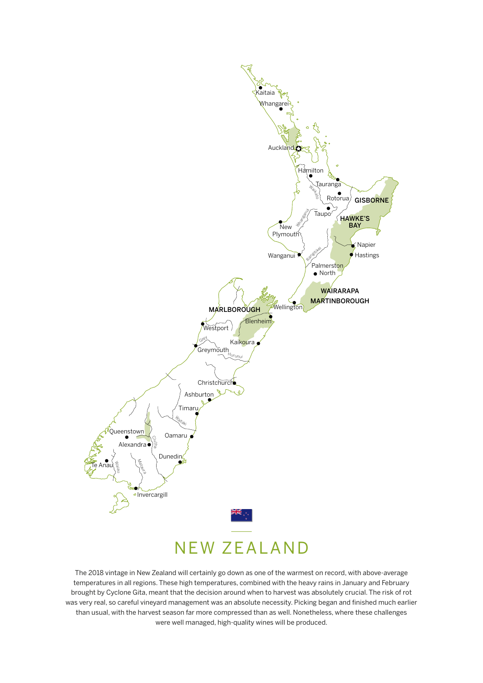

The 2018 vintage in New Zealand will certainly go down as one of the warmest on record, with above-average temperatures in all regions. These high temperatures, combined with the heavy rains in January and February brought by Cyclone Gita, meant that the decision around when to harvest was absolutely crucial. The risk of rot was very real, so careful vineyard management was an absolute necessity. Picking began and finished much earlier than usual, with the harvest season far more compressed than as well. Nonetheless, where these challenges were well managed, high-quality wines will be produced.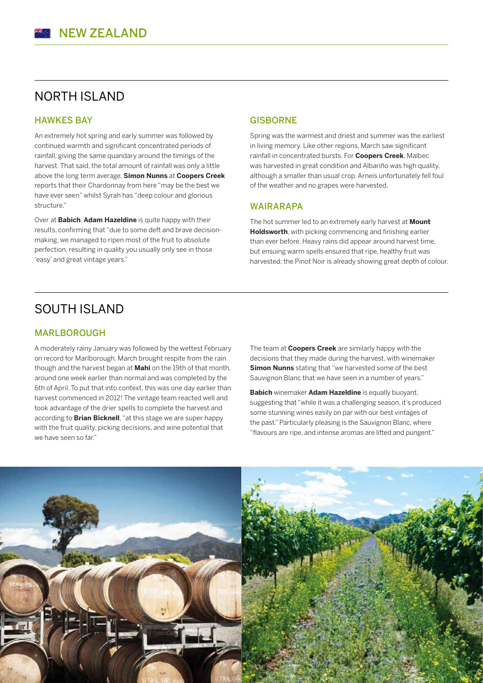## NORTH ISLAND

#### HAWKES BAY

An extremely hot spring and early summer was followed by continued warmth and significant concentrated periods of rainfall, giving the same quandary around the timings of the harvest. That said, the total amount of rainfall was only a little above the long term average. **Simon Nunns** at **Coopers Creek** reports that their Chardonnay from here "may be the best we have ever seen" whilst Syrah has "deep colour and glorious structure."

Over at **Babich**, **Adam Hazeldine** is quite happy with their results, confirming that "due to some deft and brave decisionmaking, we managed to ripen most of the fruit to absolute perfection, resulting in quality you usually only see in those 'easy' and great vintage years."

#### **GISBORNE**

Spring was the warmest and driest and summer was the earliest in living memory. Like other regions, March saw significant rainfall in concentrated bursts. For **Coopers Creek**, Malbec was harvested in great condition and Albariño was high quality, although a smaller than usual crop. Arneis unfortunately fell foul of the weather and no grapes were harvested.

#### WAIRARAPA

The hot summer led to an extremely early harvest at **Mount Holdsworth**, with picking commencing and finishing earlier than ever before. Heavy rains did appear around harvest time, but ensuing warm spells ensured that ripe, healthy fruit was harvested; the Pinot Noir is already showing great depth of colour.

### SOUTH ISLAND

#### MARLBOROUGH

A moderately rainy January was followed by the wettest February on record for Marlborough. March brought respite from the rain though and the harvest began at **Mahi** on the 19th of that month, around one week earlier than normal and was completed by the 6th of April. To put that into context, this was one day earlier than harvest commenced in 2012! The vintage team reacted well and took advantage of the drier spells to complete the harvest and according to **Brian Bicknell**, "at this stage we are super happy with the fruit quality, picking decisions, and wine potential that we have seen so far."

The team at **Coopers Creek** are similarly happy with the decisions that they made during the harvest, with winemaker **Simon Nunns** stating that "we harvested some of the best Sauvignon Blanc that we have seen in a number of years."

**Babich** winemaker **Adam Hazeldine** is equally buoyant, suggesting that "while it was a challenging season, it's produced some stunning wines easily on par with our best vintages of the past." Particularly pleasing is the Sauvignon Blanc, where "flavours are ripe, and intense aromas are lifted and pungent."

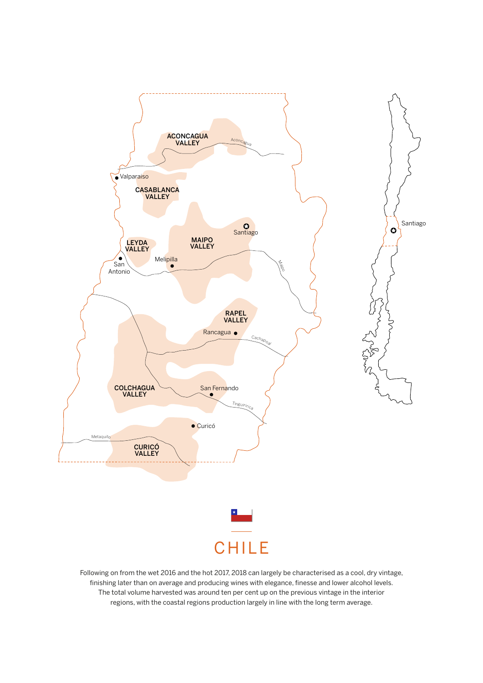

Following on from the wet 2016 and the hot 2017, 2018 can largely be characterised as a cool, dry vintage, finishing later than on average and producing wines with elegance, finesse and lower alcohol levels. The total volume harvested was around ten per cent up on the previous vintage in the interior regions, with the coastal regions production largely in line with the long term average.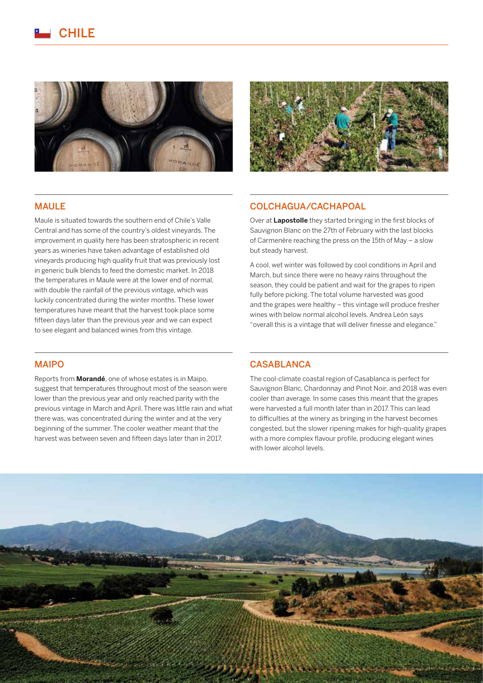





#### MAULE

Maule is situated towards the southern end of Chile's Valle Central and has some of the country's oldest vineyards. The improvement in quality here has been stratospheric in recent years as wineries have taken advantage of established old vineyards producing high quality fruit that was previously lost in generic bulk blends to feed the domestic market. In 2018 the temperatures in Maule were at the lower end of normal, with double the rainfall of the previous vintage, which was luckily concentrated during the winter months. These lower temperatures have meant that the harvest took place some fifteen days later than the previous year and we can expect to see elegant and balanced wines from this vintage.

#### COLCHAGUA/CACHAPOAL

Over at **Lapostolle** they started bringing in the first blocks of Sauvignon Blanc on the 27th of February with the last blocks of Carmenère reaching the press on the 15th of May – a slow but steady harvest.

A cool, wet winter was followed by cool conditions in April and March, but since there were no heavy rains throughout the season, they could be patient and wait for the grapes to ripen fully before picking. The total volume harvested was good and the grapes were healthy – this vintage will produce fresher wines with below normal alcohol levels. Andrea León says "overall this is a vintage that will deliver finesse and elegance."

#### MAIPO

Reports from **Morandé**, one of whose estates is in Maipo, suggest that temperatures throughout most of the season were lower than the previous year and only reached parity with the previous vintage in March and April. There was little rain and what there was, was concentrated during the winter and at the very beginning of the summer. The cooler weather meant that the harvest was between seven and fifteen days later than in 2017.

#### **CASABLANCA**

The cool-climate coastal region of Casablanca is perfect for Sauvignon Blanc, Chardonnay and Pinot Noir, and 2018 was even cooler than average. In some cases this meant that the grapes were harvested a full month later than in 2017. This can lead to difficulties at the winery as bringing in the harvest becomes congested, but the slower ripening makes for high-quality grapes with a more complex flavour profile, producing elegant wines with lower alcohol levels.

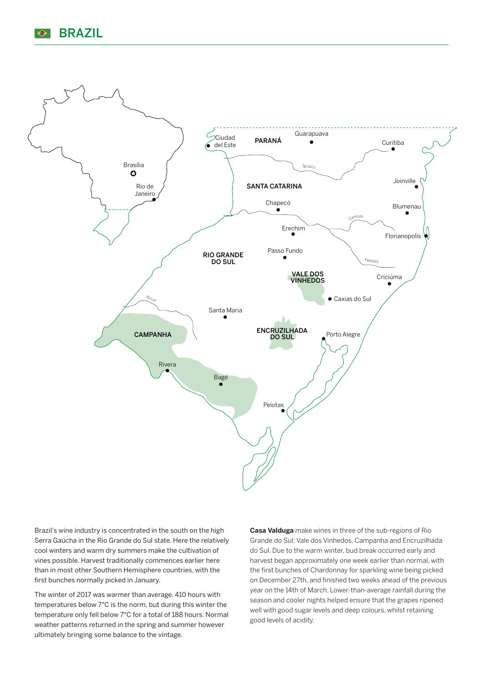



Brazil's wine industry is concentrated in the south on the high Serra Gaúcha in the Rio Grande do Sul state. Here the relatively cool winters and warm dry summers make the cultivation of vines possible. Harvest traditionally commences earlier here than in most other Southern Hemisphere countries, with the first bunches normally picked in January.

The winter of 2017 was warmer than average. 410 hours with temperatures below 7°C is the norm, but during this winter the temperature only fell below 7°C for a total of 188 hours. Normal weather patterns returned in the spring and summer however ultimately bringing some balance to the vintage.

**Casa Valduga** make wines in three of the sub-regions of Rio Grande do Sul: Vale dos Vinhedos, Campanha and Encruzilhada do Sul. Due to the warm winter, bud break occurred early and harvest began approximately one week earlier than normal, with the first bunches of Chardonnay for sparkling wine being picked on December 27th, and finished two weeks ahead of the previous year on the 14th of March. Lower-than-average rainfall during the season and cooler nights helped ensure that the grapes ripened well with good sugar levels and deep colours, whilst retaining good levels of acidity.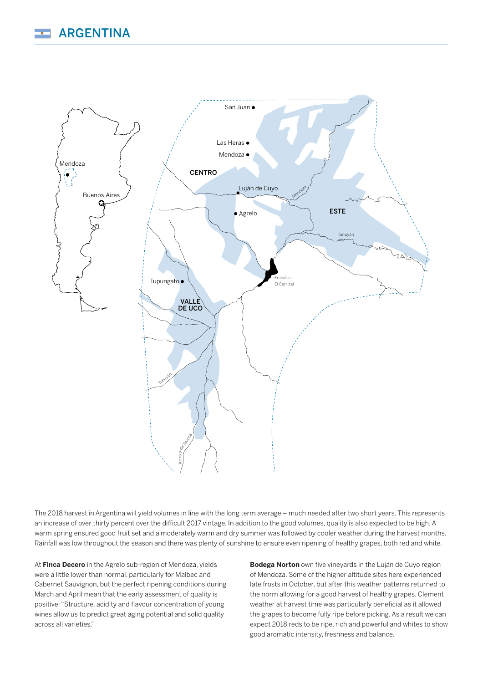

The 2018 harvest in Argentina will yield volumes in line with the long term average – much needed after two short years. This represents an increase of over thirty percent over the difficult 2017 vintage. In addition to the good volumes, quality is also expected to be high. A warm spring ensured good fruit set and a moderately warm and dry summer was followed by cooler weather during the harvest months. Rainfall was low throughout the season and there was plenty of sunshine to ensure even ripening of healthy grapes, both red and white.

At **Finca Decero** in the Agrelo sub-region of Mendoza, yields were a little lower than normal, particularly for Malbec and Cabernet Sauvignon, but the perfect ripening conditions during March and April mean that the early assessment of quality is positive: "Structure, acidity and flavour concentration of young wines allow us to predict great aging potential and solid quality across all varieties."

**Bodega Norton** own five vineyards in the Luján de Cuyo region of Mendoza. Some of the higher altitude sites here experienced late frosts in October, but after this weather patterns returned to the norm allowing for a good harvest of healthy grapes. Clement weather at harvest time was particularly beneficial as it allowed the grapes to become fully ripe before picking. As a result we can expect 2018 reds to be ripe, rich and powerful and whites to show good aromatic intensity, freshness and balance.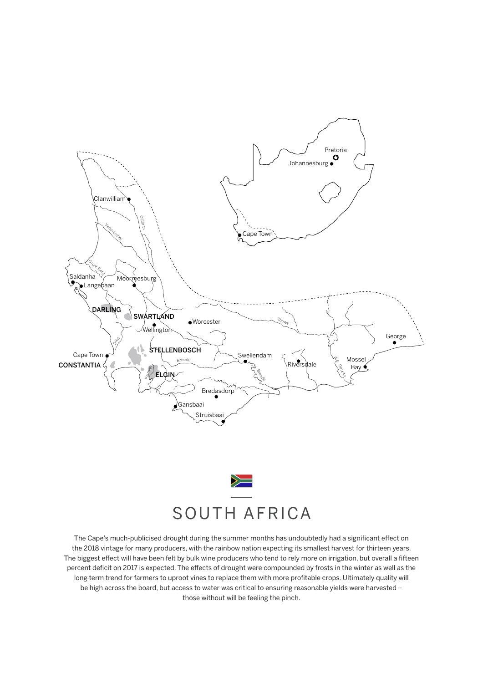



The Cape's much-publicised drought during the summer months has undoubtedly had a significant effect on the 2018 vintage for many producers, with the rainbow nation expecting its smallest harvest for thirteen years. The biggest effect will have been felt by bulk wine producers who tend to rely more on irrigation, but overall a fifteen percent deficit on 2017 is expected. The effects of drought were compounded by frosts in the winter as well as the long term trend for farmers to uproot vines to replace them with more profitable crops. Ultimately quality will be high across the board, but access to water was critical to ensuring reasonable yields were harvested – those without will be feeling the pinch.